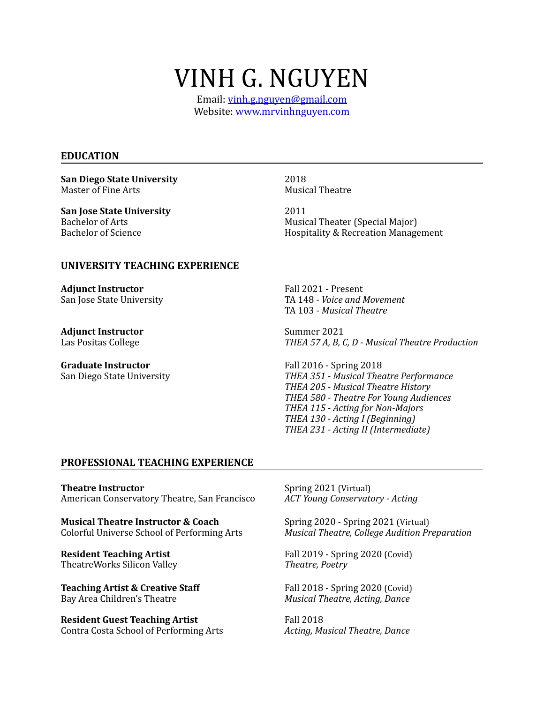# VINH G. NGUYEN

Email: [vinh.g.nguyen@gmail.com](mailto:vinh.g.nguyen@gmail.com) Website: www.mrvinhnguyen.com

#### **EDUCATION**

**San Diego State University Conserversity** 2018<br>
Master of Fine Arts<br>
Musical Theatre Master of Fine Arts

**San Jose State University** 2011<br>Bachelor of Arts **Music** 

Bachelor of Arts<br>
Bachelor of Science<br>
Bachelor of Science<br> **Bachelor of Science**<br> **Bachelor of Science**<br> **Bachelor of Science** Hospitality & Recreation Management

#### **UNIVERSITY TEACHING EXPERIENCE**

**Adjunct Instructor Present Fall 2021** - Present

**Adjunct Instructor**<br>
Las Positas College *COLL* **COLL COLL COLL** *COLL* **<b>COLL** *COLL* **COLL** *COLL* **<b>COLL** *COLL* **COLL** *COLL* **<b>COLL COLL COLL COLL COLL COLL COLL COLL COLL COLL COLL CO** 

Graduate Instructor **and Call 2016** - Spring 2018

San Jose State University *COVEC COVEC COVECAL TA 148 - Voice and Movement* TA 103 - *Musical Theatre* 

THEA 57 A, B, C, D - Musical Theatre Production

San Diego State University *THEA 351 - Musical Theatre Performance* THEA 205 - Musical Theatre History *THEA 580 - Theatre For Young Audiences* THEA 115 - Acting for Non-Majors  *THEA 130 - Acting I (Beginning)* THEA 231 - Acting II (Intermediate)

#### **PROFESSIONAL TEACHING EXPERIENCE**

**Theatre Instructor Contracts Contracts** Spring 2021 (Virtual) American Conservatory Theatre, San Francisco *ACT Young Conservatory - Acting* 

**Musical Theatre Instructor & Coach** Spring 2020 - Spring 2021 (Virtual)

**Resident Teaching Artist 1988 In the Section 1-12019** - Spring 2020 (Covid) TheatreWorks Silicon Valley *Theatre, Poetry* 

**Teaching Artist & Creative Staff** Fall 2018 - Spring 2020 (Covid) Bay Area Children's Theatre *Musical Theatre, Acting, Dance* 

**Resident Guest Teaching Artist Fall 2018** Contra Costa School of Performing Arts *Acting, Musical Theatre, Dance* 

Colorful Universe School of Performing Arts Musical Theatre, College Audition Preparation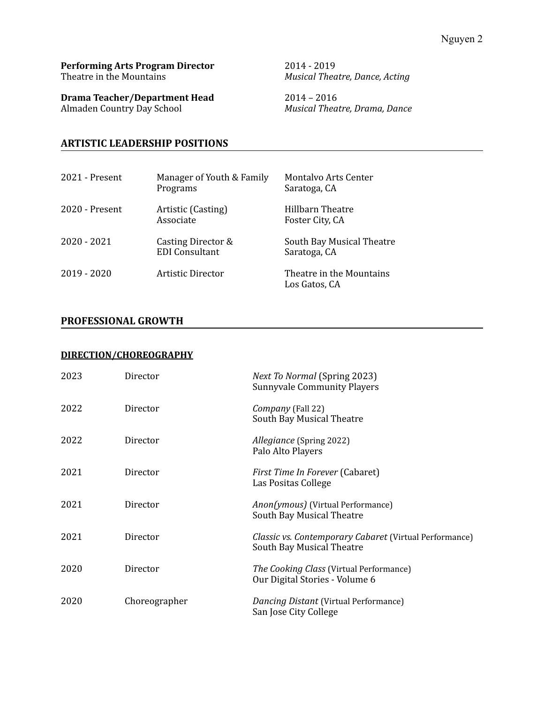#### **Performing Arts Program Director** 2014 - 2019 Theatre in the Mountains *Musical Theatre, Dance, Acting*

**Drama Teacher/Department Head** 2014 – 2016<br>Almaden Country Day School Musical Theat

**Musical Theatre, Drama, Dance** 

### **ARTISTIC LEADERSHIP POSITIONS**

| $2021$ - Present | Manager of Youth & Family<br>Programs       | <b>Montalvo Arts Center</b><br>Saratoga, CA |
|------------------|---------------------------------------------|---------------------------------------------|
| $2020$ - Present | Artistic (Casting)<br>Associate             | Hillbarn Theatre<br>Foster City, CA         |
| 2020 - 2021      | Casting Director &<br><b>EDI</b> Consultant | South Bay Musical Theatre<br>Saratoga, CA   |
| $2019 - 2020$    | Artistic Director                           | Theatre in the Mountains<br>Los Gatos, CA   |

#### **PROFESSIONAL GROWTH**

#### **DIRECTION/CHOREOGRAPHY**

| 2023 | Director      | <b>Next To Normal (Spring 2023)</b><br><b>Sunnyvale Community Players</b>                  |
|------|---------------|--------------------------------------------------------------------------------------------|
| 2022 | Director      | Company (Fall 22)<br>South Bay Musical Theatre                                             |
| 2022 | Director      | Allegiance (Spring 2022)<br>Palo Alto Players                                              |
| 2021 | Director      | First Time In Forever (Cabaret)<br>Las Positas College                                     |
| 2021 | Director      | <i>Anon(ymous)</i> (Virtual Performance)<br>South Bay Musical Theatre                      |
| 2021 | Director      | <i>Classic vs. Contemporary Cabaret (Virtual Performance)</i><br>South Bay Musical Theatre |
| 2020 | Director      | The Cooking Class (Virtual Performance)<br>Our Digital Stories - Volume 6                  |
| 2020 | Choreographer | Dancing Distant (Virtual Performance)<br>San Jose City College                             |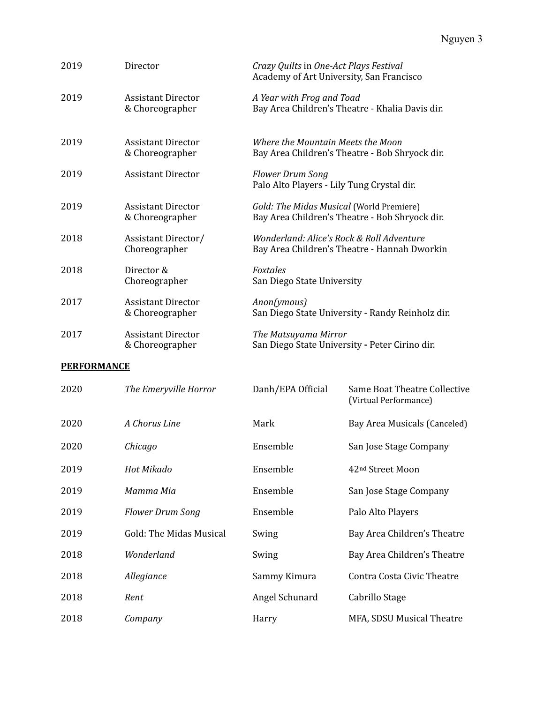| 2019 | Director                                     | Crazy Quilts in One-Act Plays Festival<br>Academy of Art University, San Francisco         |
|------|----------------------------------------------|--------------------------------------------------------------------------------------------|
| 2019 | <b>Assistant Director</b><br>& Choreographer | A Year with Frog and Toad<br>Bay Area Children's Theatre - Khalia Davis dir.               |
| 2019 | <b>Assistant Director</b><br>& Choreographer | Where the Mountain Meets the Moon<br>Bay Area Children's Theatre - Bob Shryock dir.        |
| 2019 | <b>Assistant Director</b>                    | <b>Flower Drum Song</b><br>Palo Alto Players - Lily Tung Crystal dir.                      |
| 2019 | <b>Assistant Director</b><br>& Choreographer | Gold: The Midas Musical (World Premiere)<br>Bay Area Children's Theatre - Bob Shryock dir. |
| 2018 | Assistant Director/<br>Choreographer         | Wonderland: Alice's Rock & Roll Adventure<br>Bay Area Children's Theatre - Hannah Dworkin  |
| 2018 | Director &<br>Choreographer                  | <b>Foxtales</b><br>San Diego State University                                              |
| 2017 | <b>Assistant Director</b><br>& Choreographer | Anon(ymous)<br>San Diego State University - Randy Reinholz dir.                            |
| 2017 | <b>Assistant Director</b><br>& Choreographer | The Matsuyama Mirror<br>San Diego State University - Peter Cirino dir.                     |

# **PERFORMANCE**

| 2020 | The Emeryville Horror   | Danh/EPA Official | Same Boat Theatre Collective<br>(Virtual Performance) |
|------|-------------------------|-------------------|-------------------------------------------------------|
| 2020 | A Chorus Line           | Mark              | Bay Area Musicals (Canceled)                          |
| 2020 | Chicago                 | Ensemble          | San Jose Stage Company                                |
| 2019 | Hot Mikado              | Ensemble          | 42 <sup>nd</sup> Street Moon                          |
| 2019 | Mamma Mia               | Ensemble          | San Jose Stage Company                                |
| 2019 | <b>Flower Drum Song</b> | Ensemble          | Palo Alto Players                                     |
| 2019 | Gold: The Midas Musical | Swing             | Bay Area Children's Theatre                           |
| 2018 | Wonderland              | Swing             | Bay Area Children's Theatre                           |
| 2018 | Allegiance              | Sammy Kimura      | Contra Costa Civic Theatre                            |
| 2018 | Rent                    | Angel Schunard    | Cabrillo Stage                                        |
| 2018 | Company                 | Harry             | MFA, SDSU Musical Theatre                             |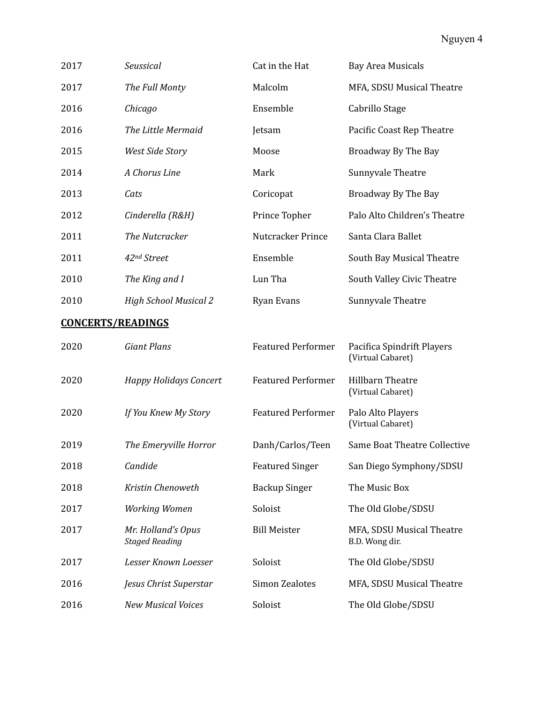| 2017                     | Seussical                                   | Cat in the Hat            | <b>Bay Area Musicals</b>                        |
|--------------------------|---------------------------------------------|---------------------------|-------------------------------------------------|
| 2017                     | The Full Monty                              | Malcolm                   | MFA, SDSU Musical Theatre                       |
| 2016                     | Chicago                                     | Ensemble                  | Cabrillo Stage                                  |
| 2016                     | The Little Mermaid                          | Jetsam                    | Pacific Coast Rep Theatre                       |
| 2015                     | West Side Story                             | Moose                     | Broadway By The Bay                             |
| 2014                     | A Chorus Line                               | Mark                      | Sunnyvale Theatre                               |
| 2013                     | Cats                                        | Coricopat                 | Broadway By The Bay                             |
| 2012                     | Cinderella (R&H)                            | Prince Topher             | Palo Alto Children's Theatre                    |
| 2011                     | The Nutcracker                              | Nutcracker Prince         | Santa Clara Ballet                              |
| 2011                     | 42nd Street                                 | Ensemble                  | South Bay Musical Theatre                       |
| 2010                     | The King and I                              | Lun Tha                   | South Valley Civic Theatre                      |
| 2010                     | <b>High School Musical 2</b>                | Ryan Evans                | Sunnyvale Theatre                               |
| <b>CONCERTS/READINGS</b> |                                             |                           |                                                 |
| 2020                     | <b>Giant Plans</b>                          | <b>Featured Performer</b> | Pacifica Spindrift Players<br>(Virtual Cabaret) |
| 2020                     | <b>Happy Holidays Concert</b>               | <b>Featured Performer</b> | Hillbarn Theatre<br>(Virtual Cabaret)           |
| 2020                     | If You Knew My Story                        | <b>Featured Performer</b> | Palo Alto Players<br>(Virtual Cabaret)          |
| 2019                     | The Emeryville Horror                       | Danh/Carlos/Teen          | <b>Same Boat Theatre Collective</b>             |
| 2018                     | Candide                                     | <b>Featured Singer</b>    | San Diego Symphony/SDSU                         |
| 2018                     | Kristin Chenoweth                           | <b>Backup Singer</b>      | The Music Box                                   |
| 2017                     | Working Women                               | Soloist                   | The Old Globe/SDSU                              |
| 2017                     | Mr. Holland's Opus<br><b>Staged Reading</b> | <b>Bill Meister</b>       | MFA, SDSU Musical Theatre<br>B.D. Wong dir.     |
| 2017                     | Lesser Known Loesser                        | Soloist                   | The Old Globe/SDSU                              |
| 2016                     | Jesus Christ Superstar                      | <b>Simon Zealotes</b>     | MFA, SDSU Musical Theatre                       |
| 2016                     | <b>New Musical Voices</b>                   | Soloist                   | The Old Globe/SDSU                              |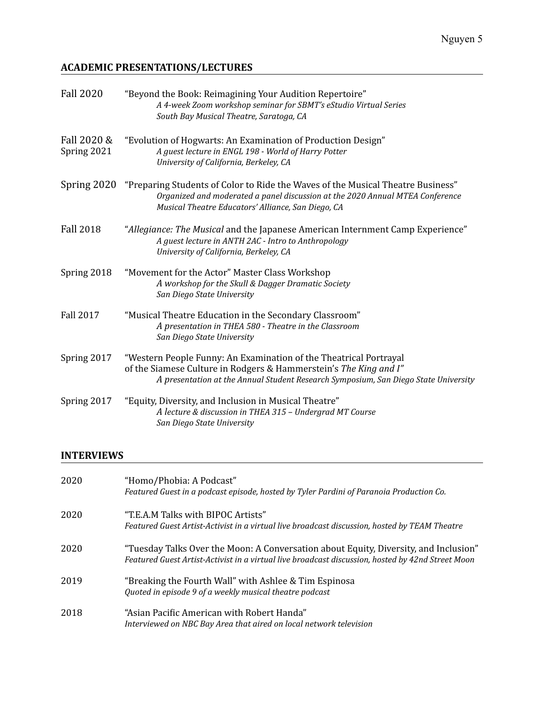# **ACADEMIC PRESENTATIONS/LECTURES**

| <b>Fall 2020</b>           | "Beyond the Book: Reimagining Your Audition Repertoire"<br>A 4-week Zoom workshop seminar for SBMT's eStudio Virtual Series<br>South Bay Musical Theatre, Saratoga, CA                                                        |
|----------------------------|-------------------------------------------------------------------------------------------------------------------------------------------------------------------------------------------------------------------------------|
| Fall 2020 &<br>Spring 2021 | "Evolution of Hogwarts: An Examination of Production Design"<br>A guest lecture in ENGL 198 - World of Harry Potter<br>University of California, Berkeley, CA                                                                 |
| Spring 2020                | "Preparing Students of Color to Ride the Waves of the Musical Theatre Business"<br>Organized and moderated a panel discussion at the 2020 Annual MTEA Conference<br>Musical Theatre Educators' Alliance, San Diego, CA        |
| <b>Fall 2018</b>           | "Allegiance: The Musical and the Japanese American Internment Camp Experience"<br>A guest lecture in ANTH 2AC - Intro to Anthropology<br>University of California, Berkeley, CA                                               |
| Spring 2018                | "Movement for the Actor" Master Class Workshop<br>A workshop for the Skull & Dagger Dramatic Society<br>San Diego State University                                                                                            |
| <b>Fall 2017</b>           | "Musical Theatre Education in the Secondary Classroom"<br>A presentation in THEA 580 - Theatre in the Classroom<br>San Diego State University                                                                                 |
| Spring 2017                | "Western People Funny: An Examination of the Theatrical Portrayal<br>of the Siamese Culture in Rodgers & Hammerstein's The King and I"<br>A presentation at the Annual Student Research Symposium, San Diego State University |
| Spring 2017                | "Equity, Diversity, and Inclusion in Musical Theatre"<br>A lecture & discussion in THEA 315 - Undergrad MT Course<br>San Diego State University                                                                               |

# **INTERVIEWS**

| 2020 | "Homo/Phobia: A Podcast"<br>Featured Guest in a podcast episode, hosted by Tyler Pardini of Paranoia Production Co.                                                                       |
|------|-------------------------------------------------------------------------------------------------------------------------------------------------------------------------------------------|
| 2020 | "T.E.A.M Talks with BIPOC Artists"<br>Featured Guest Artist-Activist in a virtual live broadcast discussion, hosted by TEAM Theatre                                                       |
| 2020 | "Tuesday Talks Over the Moon: A Conversation about Equity, Diversity, and Inclusion"<br>Featured Guest Artist-Activist in a virtual live broadcast discussion, hosted by 42nd Street Moon |
| 2019 | "Breaking the Fourth Wall" with Ashlee & Tim Espinosa<br>Quoted in episode 9 of a weekly musical theatre podcast                                                                          |
| 2018 | "Asian Pacific American with Robert Handa"<br>Interviewed on NBC Bay Area that aired on local network television                                                                          |